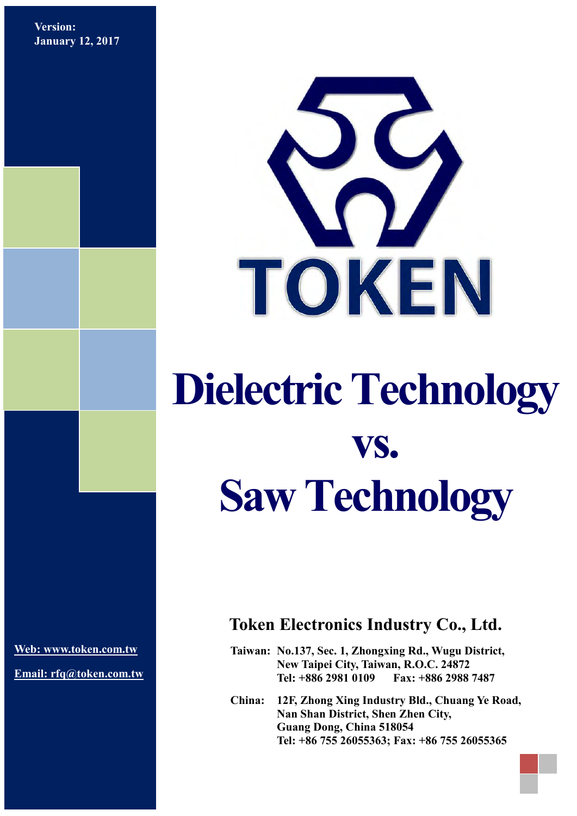**Version: January 12, 2017**



## **Dielectric Technology vs. Saw Technology**

**[Web: www.token.com.tw](http://www.token.com.tw/)**

**Email: rfq@token.com.tw**

## **Token Electronics Industry Co., Ltd.**

**Taiwan: No.137, Sec. 1, Zhongxing Rd., Wugu District, New Taipei City, Taiwan, R.O.C. 24872 Tel: +886 2981 0109 Fax: +886 2988 7487**

**China: 12F, Zhong Xing Industry Bld., Chuang Ye Road, Nan Shan District, Shen Zhen City, Guang Dong, China 518054 Tel: +86 755 26055363; Fax: +86 755 26055365**